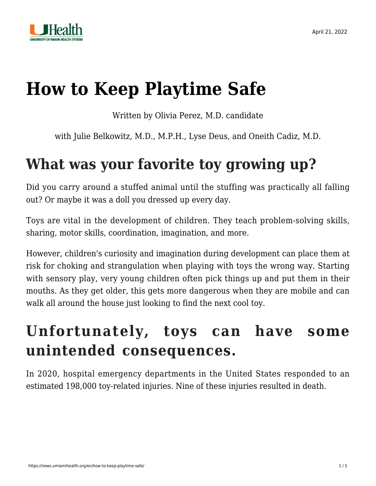

# **[How to Keep Playtime Safe](https://news.umiamihealth.org/en/how-to-keep-playtime-safe/)**

Written by Olivia Perez, M.D. candidate

with Julie Belkowitz, M.D., M.P.H., Lyse Deus, and Oneith Cadiz, M.D.

### **What was your favorite toy growing up?**

Did you carry around a stuffed animal until the stuffing was practically all falling out? Or maybe it was a doll you dressed up every day.

Toys are vital in the development of children. They teach problem-solving skills, sharing, motor skills, coordination, imagination, and more.

However, children's curiosity and imagination during development can place them at risk for choking and strangulation when playing with toys the wrong way. Starting with sensory play, very young children often pick things up and put them in their mouths. As they get older, this gets more dangerous when they are mobile and can walk all around the house just looking to find the next cool toy.

### **Unfortunately, toys can have some unintended consequences.**

In 2020, hospital emergency departments in the United States responded to an estimated 198,000 toy-related injuries. Nine of these injuries resulted in death.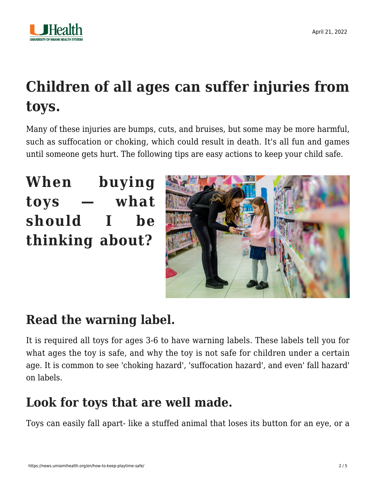

# **Children of all ages can suffer injuries from toys.**

Many of these injuries are bumps, cuts, and bruises, but some may be more harmful, such as suffocation or choking, which could result in death. It's all fun and games until someone gets hurt. The following tips are easy actions to keep your child safe.

**When buying toys — what should I be thinking about?**



### **Read the warning label.**

It is required all toys for ages 3-6 to have warning labels. These labels tell you for what ages the toy is safe, and why the toy is not safe for children under a certain age. It is common to see 'choking hazard', 'suffocation hazard', and even' fall hazard' on labels.

### **Look for toys that are well made.**

Toys can easily fall apart- like a stuffed animal that loses its button for an eye, or a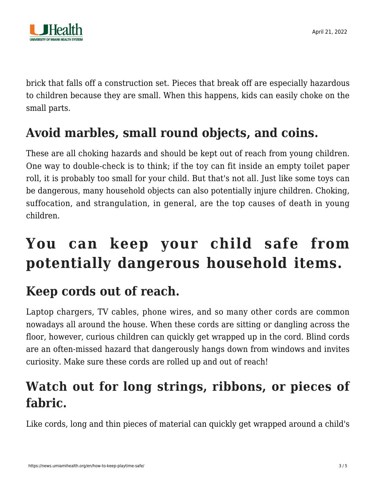

brick that falls off a construction set. Pieces that break off are especially hazardous to children because they are small. When this happens, kids can easily choke on the small parts.

### **Avoid marbles, small round objects, and coins.**

These are all choking hazards and should be kept out of reach from young children. One way to double-check is to think; if the toy can fit inside an empty toilet paper roll, it is probably too small for your child. But that's not all. Just like some toys can be dangerous, many household objects can also potentially injure children. Choking, suffocation, and strangulation, in general, are the top causes of death in young children.

## **You can keep your child safe from potentially dangerous household items.**

### **Keep cords out of reach.**

Laptop chargers, TV cables, phone wires, and so many other cords are common nowadays all around the house. When these cords are sitting or dangling across the floor, however, curious children can quickly get wrapped up in the cord. Blind cords are an often-missed hazard that dangerously hangs down from windows and invites curiosity. Make sure these cords are rolled up and out of reach!

### **Watch out for long strings, ribbons, or pieces of fabric.**

Like cords, long and thin pieces of material can quickly get wrapped around a child's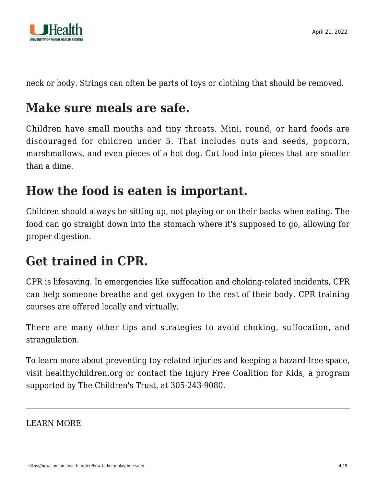

neck or body. Strings can often be parts of toys or clothing that should be removed.

### **Make sure meals are safe.**

Children have small mouths and tiny throats. Mini, round, or hard foods are discouraged for children under 5. That includes nuts and seeds, popcorn, marshmallows, and even pieces of a hot dog. Cut food into pieces that are smaller than a dime.

### **How the food is eaten is important.**

Children should always be sitting up, not playing or on their backs when eating. The food can go straight down into the stomach where it's supposed to go, allowing for proper digestion.

### **Get trained in CPR.**

CPR is lifesaving. In emergencies like suffocation and choking-related incidents, CPR can help someone breathe and get oxygen to the rest of their body. CPR training courses are offered locally and virtually.

There are many other tips and strategies to avoid choking, suffocation, and strangulation.

To learn more about preventing toy-related injuries and keeping a hazard-free space, visit [healthychildren.org](https://healthychildren.org/English/Pages/default.aspx) or contact the Injury Free Coalition for Kids, a program supported by The Children's Trust, at [305-243-9080](#page--1-0).

LEARN MORE